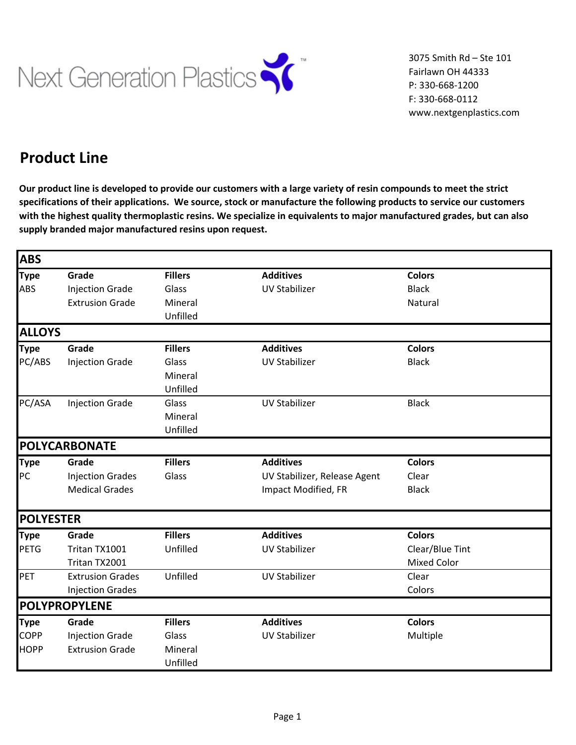

 3075 Smith Rd – Ste 101 Fairlawn OH 44333 P: 330-668-1200 F: 330-668-0112 www.nextgenplastics.com

## **Product Line**

**Our product line is developed to provide our customers with a large variety of resin compounds to meet the strict specifications of their applications. We source, stock or manufacture the following products to service our customers with the highest quality thermoplastic resins. We specialize in equivalents to major manufactured grades, but can also supply branded major manufactured resins upon request.**

| <b>ABS</b>       |                         |                |                              |                    |  |
|------------------|-------------------------|----------------|------------------------------|--------------------|--|
| <b>Type</b>      | Grade                   | <b>Fillers</b> | <b>Additives</b>             | <b>Colors</b>      |  |
| ABS              | <b>Injection Grade</b>  | Glass          | <b>UV Stabilizer</b>         | <b>Black</b>       |  |
|                  | <b>Extrusion Grade</b>  | Mineral        |                              | Natural            |  |
|                  |                         | Unfilled       |                              |                    |  |
| <b>ALLOYS</b>    |                         |                |                              |                    |  |
| <b>Type</b>      | Grade                   | <b>Fillers</b> | <b>Additives</b>             | <b>Colors</b>      |  |
| PC/ABS           | <b>Injection Grade</b>  | Glass          | <b>UV Stabilizer</b>         | <b>Black</b>       |  |
|                  |                         | Mineral        |                              |                    |  |
|                  |                         | Unfilled       |                              |                    |  |
| PC/ASA           | <b>Injection Grade</b>  | Glass          | <b>UV Stabilizer</b>         | <b>Black</b>       |  |
|                  |                         | Mineral        |                              |                    |  |
|                  |                         | Unfilled       |                              |                    |  |
|                  | POLYCARBONATE           |                |                              |                    |  |
| <b>Type</b>      | Grade                   | <b>Fillers</b> | <b>Additives</b>             | <b>Colors</b>      |  |
| PC               | <b>Injection Grades</b> | Glass          | UV Stabilizer, Release Agent | Clear              |  |
|                  | <b>Medical Grades</b>   |                | Impact Modified, FR          | <b>Black</b>       |  |
| <b>POLYESTER</b> |                         |                |                              |                    |  |
| <b>Type</b>      | Grade                   | <b>Fillers</b> | <b>Additives</b>             | <b>Colors</b>      |  |
| <b>PETG</b>      | Tritan TX1001           | Unfilled       | <b>UV Stabilizer</b>         | Clear/Blue Tint    |  |
|                  | Tritan TX2001           |                |                              | <b>Mixed Color</b> |  |
| PET              | <b>Extrusion Grades</b> | Unfilled       | <b>UV Stabilizer</b>         | Clear              |  |
|                  | <b>Injection Grades</b> |                |                              | Colors             |  |
|                  | POLYPROPYLENE           |                |                              |                    |  |
| <b>Type</b>      | Grade                   | <b>Fillers</b> | <b>Additives</b>             | <b>Colors</b>      |  |
| <b>COPP</b>      | <b>Injection Grade</b>  | Glass          | <b>UV Stabilizer</b>         | Multiple           |  |
| <b>HOPP</b>      | <b>Extrusion Grade</b>  | Mineral        |                              |                    |  |
|                  |                         | Unfilled       |                              |                    |  |